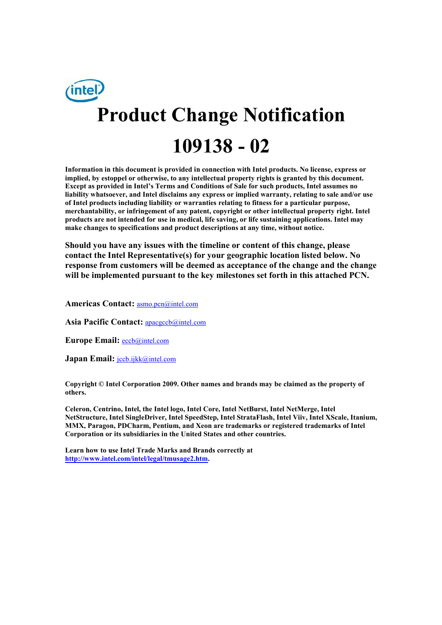# inte **Product Change Notification 109138 - 02**

**Information in this document is provided in connection with Intel products. No license, express or implied, by estoppel or otherwise, to any intellectual property rights is granted by this document. Except as provided in Intel's Terms and Conditions of Sale for such products, Intel assumes no liability whatsoever, and Intel disclaims any express or implied warranty, relating to sale and/or use of Intel products including liability or warranties relating to fitness for a particular purpose, merchantability, or infringement of any patent, copyright or other intellectual property right. Intel products are not intended for use in medical, life saving, or life sustaining applications. Intel may make changes to specifications and product descriptions at any time, without notice.** 

**Should you have any issues with the timeline or content of this change, please contact the Intel Representative(s) for your geographic location listed below. No response from customers will be deemed as acceptance of the change and the change will be implemented pursuant to the key milestones set forth in this attached PCN.** 

**Americas Contact:** asmo.pcn@intel.com

**Asia Pacific Contact:** apacgccb@intel.com

**Europe Email:** eccb@intel.com

Japan Email: **jccb.ijkk@intel.com** 

**Copyright © Intel Corporation 2009. Other names and brands may be claimed as the property of others.**

**Celeron, Centrino, Intel, the Intel logo, Intel Core, Intel NetBurst, Intel NetMerge, Intel NetStructure, Intel SingleDriver, Intel SpeedStep, Intel StrataFlash, Intel Viiv, Intel XScale, Itanium, MMX, Paragon, PDCharm, Pentium, and Xeon are trademarks or registered trademarks of Intel Corporation or its subsidiaries in the United States and other countries.** 

**Learn how to use Intel Trade Marks and Brands correctly at http://www.intel.com/intel/legal/tmusage2.htm.**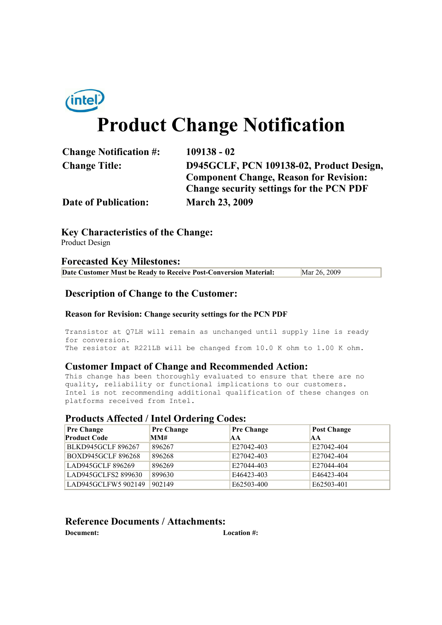

# **Product Change Notification**

| <b>Change Notification #:</b> | $109138 - 02$                                   |
|-------------------------------|-------------------------------------------------|
| <b>Change Title:</b>          | D945GCLF, PCN 109138-02, Product Design,        |
|                               | <b>Component Change, Reason for Revision:</b>   |
|                               | <b>Change security settings for the PCN PDF</b> |
| <b>Date of Publication:</b>   | <b>March 23, 2009</b>                           |

**Key Characteristics of the Change:** Product Design

### **Forecasted Key Milestones:**

| Date Customer Must be Ready to Receive Post-Conversion Material: | Mar 26, 2009 |
|------------------------------------------------------------------|--------------|
|------------------------------------------------------------------|--------------|

# **Description of Change to the Customer:**

#### **Reason for Revision: Change security settings for the PCN PDF**

Transistor at Q7LH will remain as unchanged until supply line is ready for conversion. The resistor at R221LB will be changed from 10.0 K ohm to 1.00 K ohm.

### **Customer Impact of Change and Recommended Action:**

This change has been thoroughly evaluated to ensure that there are no quality, reliability or functional implications to our customers. Intel is not recommending additional qualification of these changes on platforms received from Intel.

# **Products Affected / Intel Ordering Codes:**

| <b>Pre Change</b>         | $\bullet$<br><b>Pre Change</b> | <b>Pre Change</b> | <b>Post Change</b> |
|---------------------------|--------------------------------|-------------------|--------------------|
| <b>Product Code</b>       | MM#                            | IA A              | <b>AA</b>          |
| <b>BLKD945GCLF 896267</b> | 896267                         | E27042-403        | E27042-404         |
| <b>BOXD945GCLF 896268</b> | 896268                         | E27042-403        | E27042-404         |
| LAD945GCLF 896269         | 896269                         | E27044-403        | E27044-404         |
| LAD945GCLFS2 899630       | 899630                         | E46423-403        | E46423-404         |
| LAD945GCLFW5 902149       | 902149                         | E62503-400        | E62503-401         |

# **Reference Documents / Attachments:**

**Document: Location #:**